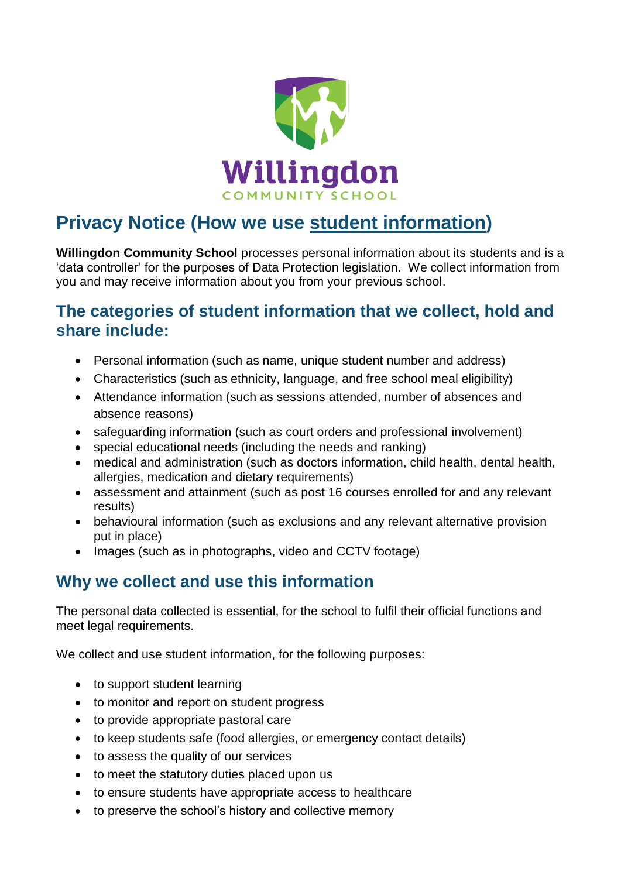

# **Privacy Notice (How we use student information)**

**Willingdon Community School** processes personal information about its students and is a 'data controller' for the purposes of Data Protection legislation. We collect information from you and may receive information about you from your previous school.

### **The categories of student information that we collect, hold and share include:**

- Personal information (such as name, unique student number and address)
- Characteristics (such as ethnicity, language, and free school meal eligibility)
- Attendance information (such as sessions attended, number of absences and absence reasons)
- safeguarding information (such as court orders and professional involvement)
- special educational needs (including the needs and ranking)
- medical and administration (such as doctors information, child health, dental health, allergies, medication and dietary requirements)
- assessment and attainment (such as post 16 courses enrolled for and any relevant results)
- behavioural information (such as exclusions and any relevant alternative provision put in place)
- Images (such as in photographs, video and CCTV footage)

### **Why we collect and use this information**

The personal data collected is essential, for the school to fulfil their official functions and meet legal requirements.

We collect and use student information, for the following purposes:

- to support student learning
- to monitor and report on student progress
- to provide appropriate pastoral care
- to keep students safe (food allergies, or emergency contact details)
- to assess the quality of our services
- to meet the statutory duties placed upon us
- to ensure students have appropriate access to healthcare
- to preserve the school's history and collective memory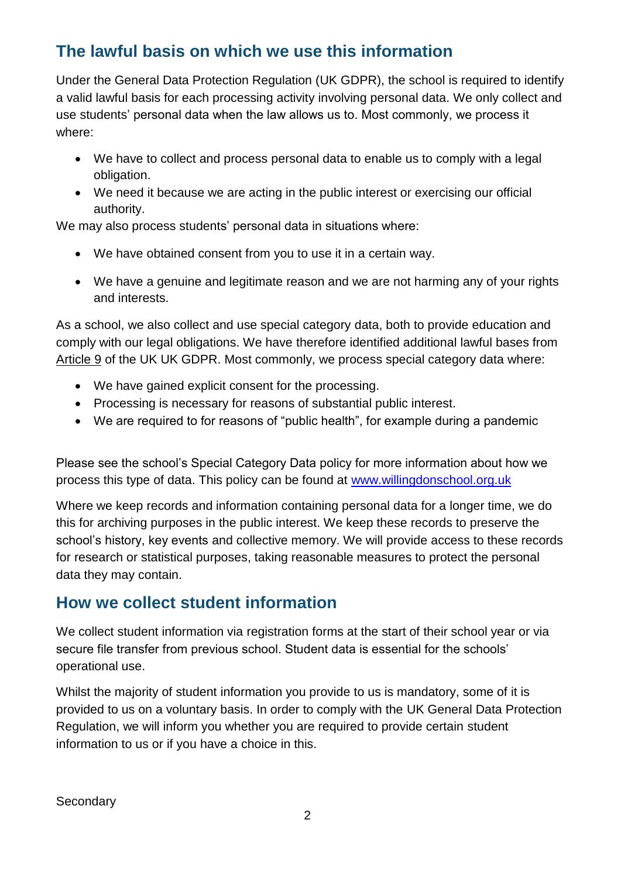# **The lawful basis on which we use this information**

Under the General Data Protection Regulation (UK GDPR), the school is required to identify a valid lawful basis for each processing activity involving personal data. We only collect and use students' personal data when the law allows us to. Most commonly, we process it where:

- We have to collect and process personal data to enable us to comply with a legal obligation.
- We need it because we are acting in the public interest or exercising our official authority.

We may also process students' personal data in situations where:

- We have obtained consent from you to use it in a certain way.
- We have a genuine and legitimate reason and we are not harming any of your rights and interests.

As a school, we also collect and use special category data, both to provide education and comply with our legal obligations. We have therefore identified additional lawful bases from Article 9 of the UK UK GDPR. Most commonly, we process special category data where:

- We have gained explicit consent for the processing.
- Processing is necessary for reasons of substantial public interest.
- We are required to for reasons of "public health", for example during a pandemic

Please see the school's Special Category Data policy for more information about how we process this type of data. This policy can be found at [www.willingdonschool.org.uk](http://www.willingdonschool.org.uk/)

Where we keep records and information containing personal data for a longer time, we do this for archiving purposes in the public interest. We keep these records to preserve the school's history, key events and collective memory. We will provide access to these records for research or statistical purposes, taking reasonable measures to protect the personal data they may contain.

### **How we collect student information**

We collect student information via registration forms at the start of their school year or via secure file transfer from previous school. Student data is essential for the schools' operational use.

Whilst the majority of student information you provide to us is mandatory, some of it is provided to us on a voluntary basis. In order to comply with the UK General Data Protection Regulation, we will inform you whether you are required to provide certain student information to us or if you have a choice in this.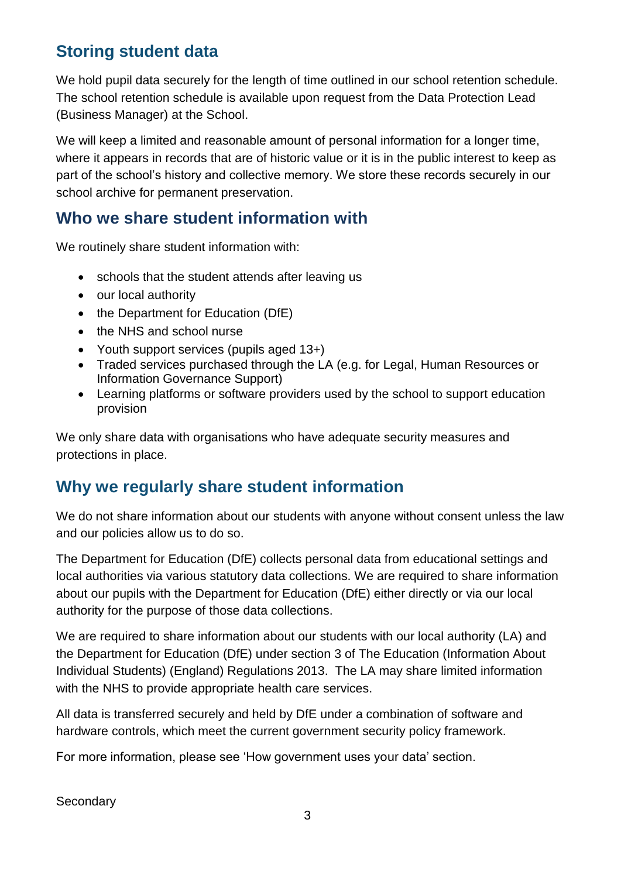# **Storing student data**

We hold pupil data securely for the length of time outlined in our school retention schedule. The school retention schedule is available upon request from the Data Protection Lead (Business Manager) at the School.

We will keep a limited and reasonable amount of personal information for a longer time, where it appears in records that are of historic value or it is in the public interest to keep as part of the school's history and collective memory. We store these records securely in our school archive for permanent preservation.

### **Who we share student information with**

We routinely share student information with:

- schools that the student attends after leaving us
- our local authority
- the Department for Education (DfE)
- the NHS and school nurse
- Youth support services (pupils aged 13+)
- Traded services purchased through the LA (e.g. for Legal, Human Resources or Information Governance Support)
- Learning platforms or software providers used by the school to support education provision

We only share data with organisations who have adequate security measures and protections in place.

# **Why we regularly share student information**

We do not share information about our students with anyone without consent unless the law and our policies allow us to do so.

The Department for Education (DfE) collects personal data from educational settings and local authorities via various statutory data collections. We are required to share information about our pupils with the Department for Education (DfE) either directly or via our local authority for the purpose of those data collections.

We are required to share information about our students with our local authority (LA) and the Department for Education (DfE) under section 3 of The Education (Information About Individual Students) (England) Regulations 2013. The LA may share limited information with the NHS to provide appropriate health care services.

All data is transferred securely and held by DfE under a combination of software and hardware controls, which meet the current government security policy framework.

For more information, please see 'How government uses your data' section.

**Secondary**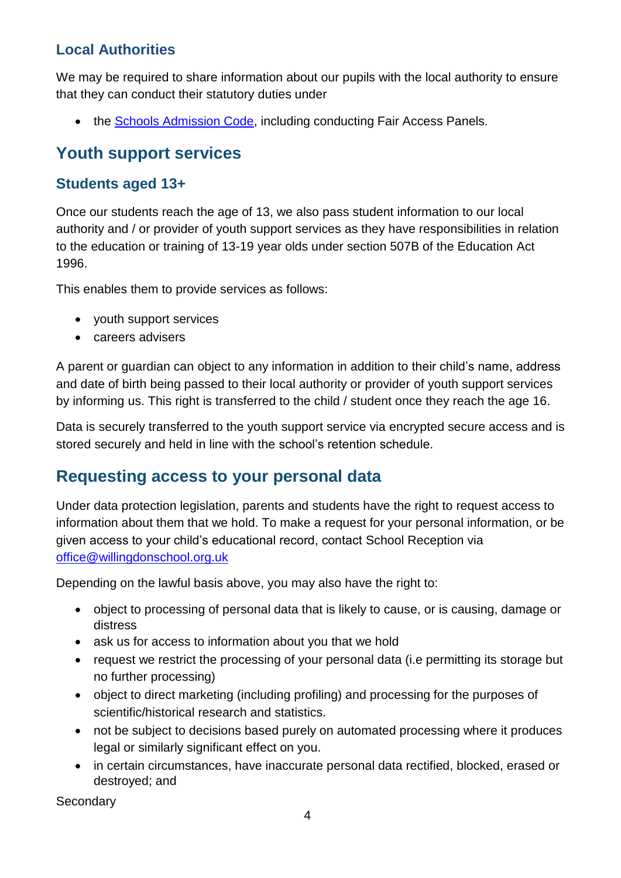#### **Local Authorities**

We may be required to share information about our pupils with the local authority to ensure that they can conduct their statutory duties under

• the [Schools Admission Code,](https://www.gov.uk/government/publications/school-admissions-code--2) including conducting Fair Access Panels.

### **Youth support services**

#### **Students aged 13+**

Once our students reach the age of 13, we also pass student information to our local authority and / or provider of youth support services as they have responsibilities in relation to the education or training of 13-19 year olds under section 507B of the Education Act 1996.

This enables them to provide services as follows:

- youth support services
- careers advisers

A parent or guardian can object to any information in addition to their child's name, address and date of birth being passed to their local authority or provider of youth support services by informing us. This right is transferred to the child / student once they reach the age 16.

Data is securely transferred to the youth support service via encrypted secure access and is stored securely and held in line with the school's retention schedule.

### **Requesting access to your personal data**

Under data protection legislation, parents and students have the right to request access to information about them that we hold. To make a request for your personal information, or be given access to your child's educational record, contact School Reception via [office@willingdonschool.org.uk](mailto:office@willingdonschool.org.uk)

Depending on the lawful basis above, you may also have the right to:

- object to processing of personal data that is likely to cause, or is causing, damage or distress
- ask us for access to information about you that we hold
- request we restrict the processing of your personal data (i.e permitting its storage but no further processing)
- object to direct marketing (including profiling) and processing for the purposes of scientific/historical research and statistics.
- not be subject to decisions based purely on automated processing where it produces legal or similarly significant effect on you.
- in certain circumstances, have inaccurate personal data rectified, blocked, erased or destroyed; and

**Secondary**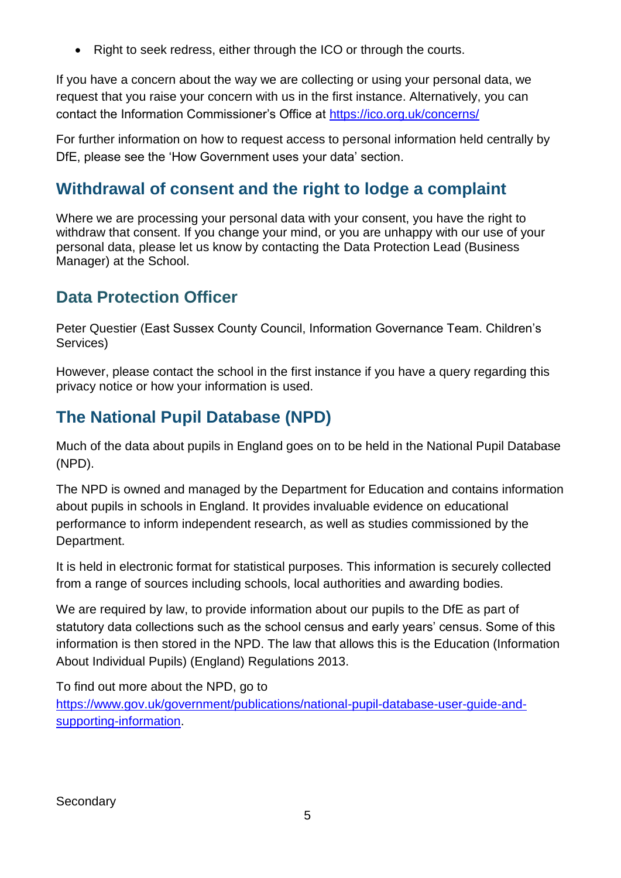• Right to seek redress, either through the ICO or through the courts.

If you have a concern about the way we are collecting or using your personal data, we request that you raise your concern with us in the first instance. Alternatively, you can contact the Information Commissioner's Office at<https://ico.org.uk/concerns/>

For further information on how to request access to personal information held centrally by DfE, please see the 'How Government uses your data' section.

### **Withdrawal of consent and the right to lodge a complaint**

Where we are processing your personal data with your consent, you have the right to withdraw that consent. If you change your mind, or you are unhappy with our use of your personal data, please let us know by contacting the Data Protection Lead (Business Manager) at the School.

### **Data Protection Officer**

Peter Questier (East Sussex County Council, Information Governance Team. Children's Services)

However, please contact the school in the first instance if you have a query regarding this privacy notice or how your information is used.

### **The National Pupil Database (NPD)**

Much of the data about pupils in England goes on to be held in the National Pupil Database (NPD).

The NPD is owned and managed by the Department for Education and contains information about pupils in schools in England. It provides invaluable evidence on educational performance to inform independent research, as well as studies commissioned by the Department.

It is held in electronic format for statistical purposes. This information is securely collected from a range of sources including schools, local authorities and awarding bodies.

We are required by law, to provide information about our pupils to the DfE as part of statutory data collections such as the school census and early years' census. Some of this information is then stored in the NPD. The law that allows this is the Education (Information About Individual Pupils) (England) Regulations 2013.

To find out more about the NPD, go to

[https://www.gov.uk/government/publications/national-pupil-database-user-guide-and](https://www.gov.uk/government/publications/national-pupil-database-user-guide-and-supporting-information)[supporting-information.](https://www.gov.uk/government/publications/national-pupil-database-user-guide-and-supporting-information)